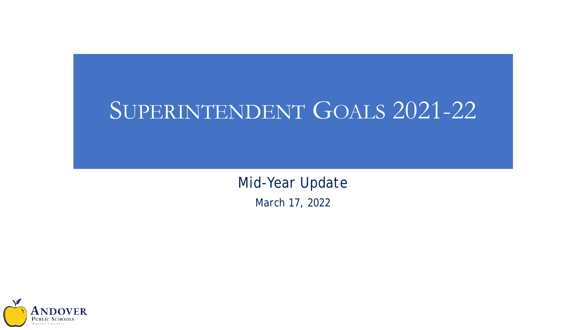# SUPERINTENDENT GOALS 2021-22

*Mid-Year Update March 17, 2022*

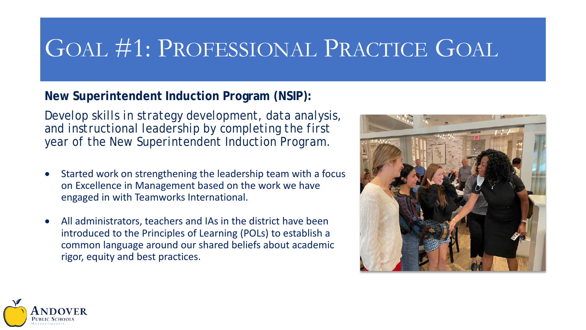## GOAL #1: PROFESSIONAL PRACTICE GOAL

## **New Superintendent Induction Program (NSIP):**

*Develop skills in strategy development, data analysis, and instructional leadership by completing the first year of the New Superintendent Induction Program.*

- Started work on strengthening the leadership team with a focus on Excellence in Management based on the work we have engaged in with Teamworks International.
- All administrators, teachers and IAs in the district have been introduced to the Principles of Learning (POLs) to establish a common language around our shared beliefs about academic rigor, equity and best practices.



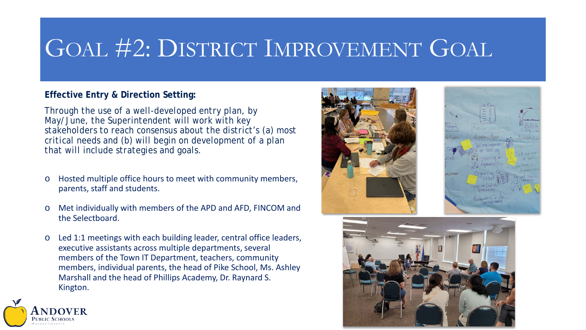## GOAL #2: DISTRICT IMPROVEMENT GOAL

### **Effective Entry & Direction Setting:**

*Through the use of a well-developed entry plan, by May/June, the Superintendent will work with key stakeholders to reach consensus about the district's (a) most critical needs and (b) will begin on development of a plan that will include strategies and goals.*

- o Hosted multiple office hours to meet with community members, parents, staff and students.
- o Met individually with members of the APD and AFD, FINCOM and the Selectboard.
- o Led 1:1 meetings with each building leader, central office leaders, executive assistants across multiple departments, several members of the Town IT Department, teachers, community members, individual parents, the head of Pike School, Ms. Ashley Marshall and the head of Phillips Academy, Dr. Raynard S. Kington.







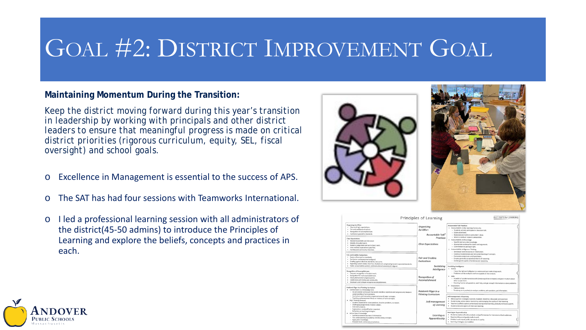## GOAL #2: DISTRICT IMPROVEMENT GOAL

#### **Maintaining Momentum During the Transition:**

*Keep the district moving forward during this year's transition in leadership by working with principals and other district leaders to ensure that meaningful progress is made on critical district priorities (rigorous curriculum, equity, SEL, fiscal oversight) and school goals.*

- o Excellence in Management is essential to the success of APS.
- o The SAT has had four sessions with Teamworks International.
- o I led a professional learning session with all administrators of the district(45-50 admins) to introduce the Principles of Learning and explore the beliefs, concepts and practices in each.







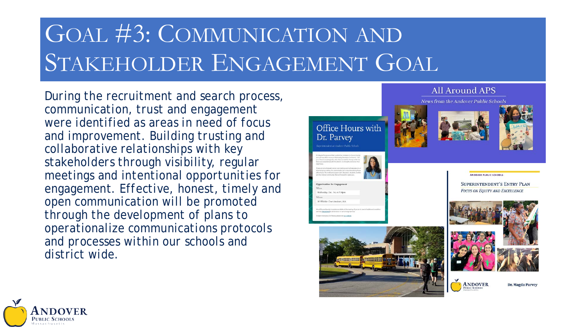# GOAL #3: COMMUNICATION AND STAKEHOLDER ENGAGEMENT GOAL

*During the recruitment and search process, communication, trust and engagement were identified as areas in need of focus and improvement. Building trusting and collaborative relationships with key stakeholders through visibility, regular meetings and intentional opportunities for engagement. Effective, honest, timely and open communication will be promoted through the development of plans to operationalize communications protocols and processes within our schools and district wide.*







**ANDOVER** 

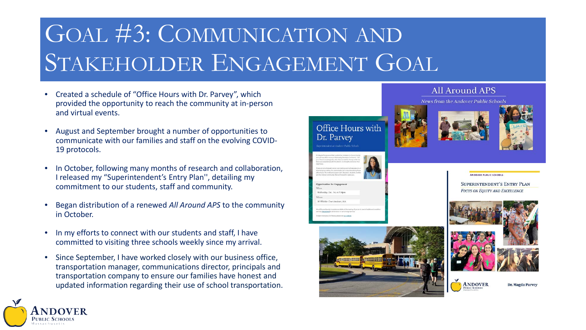# GOAL #3: COMMUNICATION AND STAKEHOLDER ENGAGEMENT GOAL

- Created a schedule of "Office Hours with Dr. Parvey", which provided the opportunity to reach the community at in-person and virtual events.
- August and September brought a number of opportunities to communicate with our families and staff on the evolving COVID-19 protocols.
- In October, following many months of research and collaboration, I released my "Superintendent's Entry Plan'', detailing my commitment to our students, staff and community.
- Began distribution of a renewed *All Around APS* to the community in October.
- In my efforts to connect with our students and staff, I have committed to visiting three schools weekly since my arrival.

Public School ssachusetts

Since September, I have worked closely with our business office, transportation manager, communications director, principals and transportation company to ensure our families have honest and updated information regarding their use of school transportation.







#### **All Around APS**

**News from the Andover Public Schools** 





Dr. Magda Parvey

ANDOVER BUBLIC SCHOOLS

**SUPERINTENDENT'S ENTRY PLAN FOCUS ON EQUITY AND EXCELLENCE** 



**ANDOVER**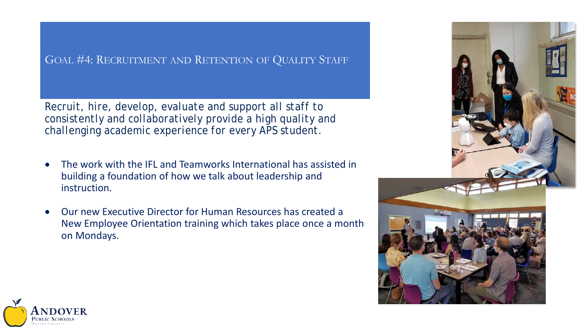### GOAL #4: RECRUITMENT AND RETENTION OF QUALITY STAFF

*Recruit, hire, develop, evaluate and support all staff to consistently and collaboratively provide a high quality and challenging academic experience for every APS student.*

- The work with the IFL and Teamworks International has assisted in building a foundation of how we talk about leadership and instruction.
- Our new Executive Director for Human Resources has created a New Employee Orientation training which takes place once a month on Mondays.